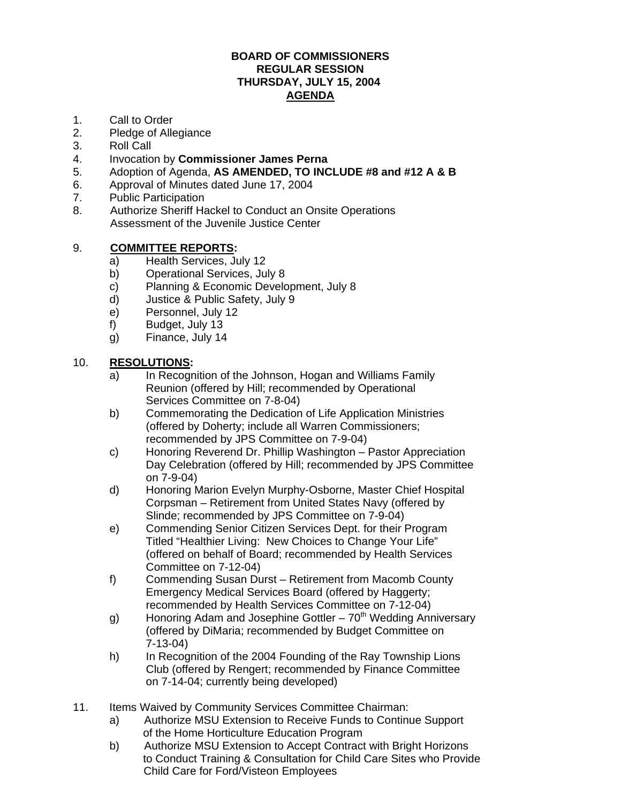#### **BOARD OF COMMISSIONERS REGULAR SESSION THURSDAY, JULY 15, 2004 AGENDA**

- 1. Call to Order
- 2. Pledge of Allegiance
- 3. Roll Call
- 4. Invocation by **Commissioner James Perna**
- 5. Adoption of Agenda, **AS AMENDED, TO INCLUDE #8 and #12 A & B**
- 6. Approval of Minutes dated June 17, 2004
- 7. Public Participation
- 8. Authorize Sheriff Hackel to Conduct an Onsite Operations Assessment of the Juvenile Justice Center

## 9. **COMMITTEE REPORTS:**

- a) Health Services, July 12
- b) Operational Services, July 8
- c) Planning & Economic Development, July 8
- d) Justice & Public Safety, July 9
- e) Personnel, July 12
- f) Budget, July 13
- g) Finance, July 14

## 10. **RESOLUTIONS:**

- a) In Recognition of the Johnson, Hogan and Williams Family Reunion (offered by Hill; recommended by Operational Services Committee on 7-8-04)
- b) Commemorating the Dedication of Life Application Ministries (offered by Doherty; include all Warren Commissioners; recommended by JPS Committee on 7-9-04)
- c) Honoring Reverend Dr. Phillip Washington Pastor Appreciation Day Celebration (offered by Hill; recommended by JPS Committee on 7-9-04)
- d) Honoring Marion Evelyn Murphy-Osborne, Master Chief Hospital Corpsman – Retirement from United States Navy (offered by Slinde; recommended by JPS Committee on 7-9-04)
- e) Commending Senior Citizen Services Dept. for their Program Titled "Healthier Living: New Choices to Change Your Life" (offered on behalf of Board; recommended by Health Services Committee on 7-12-04)
- f) Commending Susan Durst Retirement from Macomb County Emergency Medical Services Board (offered by Haggerty; recommended by Health Services Committee on 7-12-04)
- g) Honoring Adam and Josephine Gottler  $70<sup>th</sup>$  Wedding Anniversary (offered by DiMaria; recommended by Budget Committee on 7-13-04)
- h) In Recognition of the 2004 Founding of the Ray Township Lions Club (offered by Rengert; recommended by Finance Committee on 7-14-04; currently being developed)
- 11. Items Waived by Community Services Committee Chairman:
	- a) Authorize MSU Extension to Receive Funds to Continue Support of the Home Horticulture Education Program
	- b) Authorize MSU Extension to Accept Contract with Bright Horizons to Conduct Training & Consultation for Child Care Sites who Provide Child Care for Ford/Visteon Employees